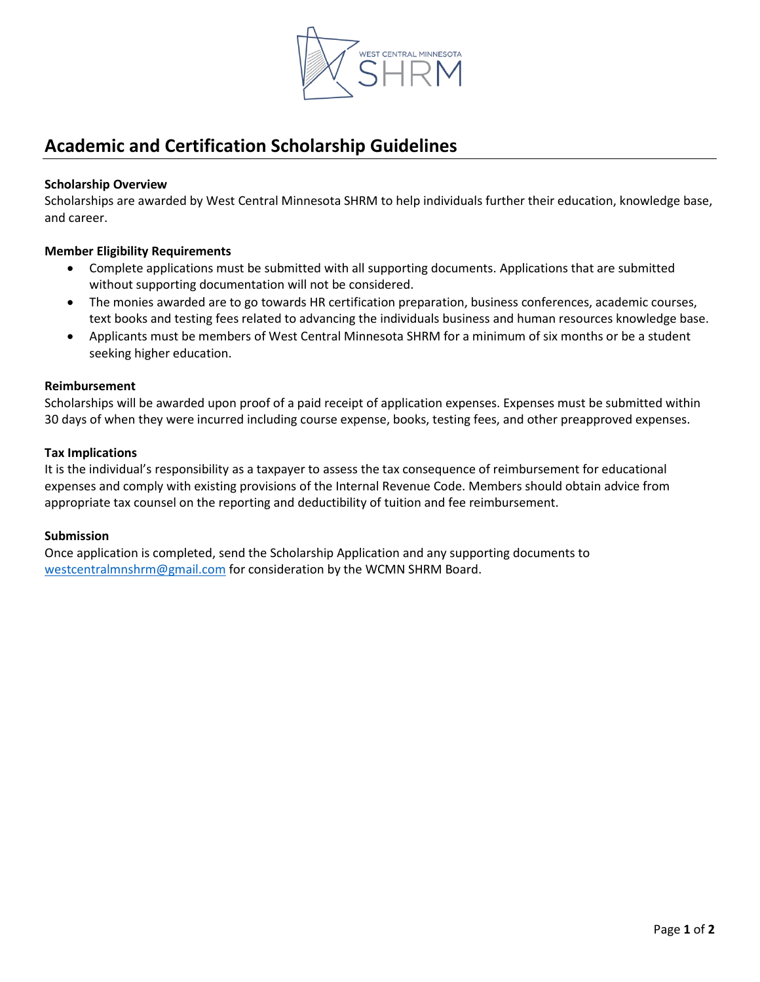

# **Academic and Certification Scholarship Guidelines**

## **Scholarship Overview**

Scholarships are awarded by West Central Minnesota SHRM to help individuals further their education, knowledge base, and career.

## **Member Eligibility Requirements**

- Complete applications must be submitted with all supporting documents. Applications that are submitted without supporting documentation will not be considered.
- The monies awarded are to go towards HR certification preparation, business conferences, academic courses, text books and testing fees related to advancing the individuals business and human resources knowledge base.
- Applicants must be members of West Central Minnesota SHRM for a minimum of six months or be a student seeking higher education.

### **Reimbursement**

Scholarships will be awarded upon proof of a paid receipt of application expenses. Expenses must be submitted within 30 days of when they were incurred including course expense, books, testing fees, and other preapproved expenses.

### **Tax Implications**

It is the individual's responsibility as a taxpayer to assess the tax consequence of reimbursement for educational expenses and comply with existing provisions of the Internal Revenue Code. Members should obtain advice from appropriate tax counsel on the reporting and deductibility of tuition and fee reimbursement.

### **Submission**

Once application is completed, send the Scholarship Application and any supporting documents to [westcentralmnshrm@gmail.com](mailto:westcentralmnshrm@gmail.com) for consideration by the WCMN SHRM Board.